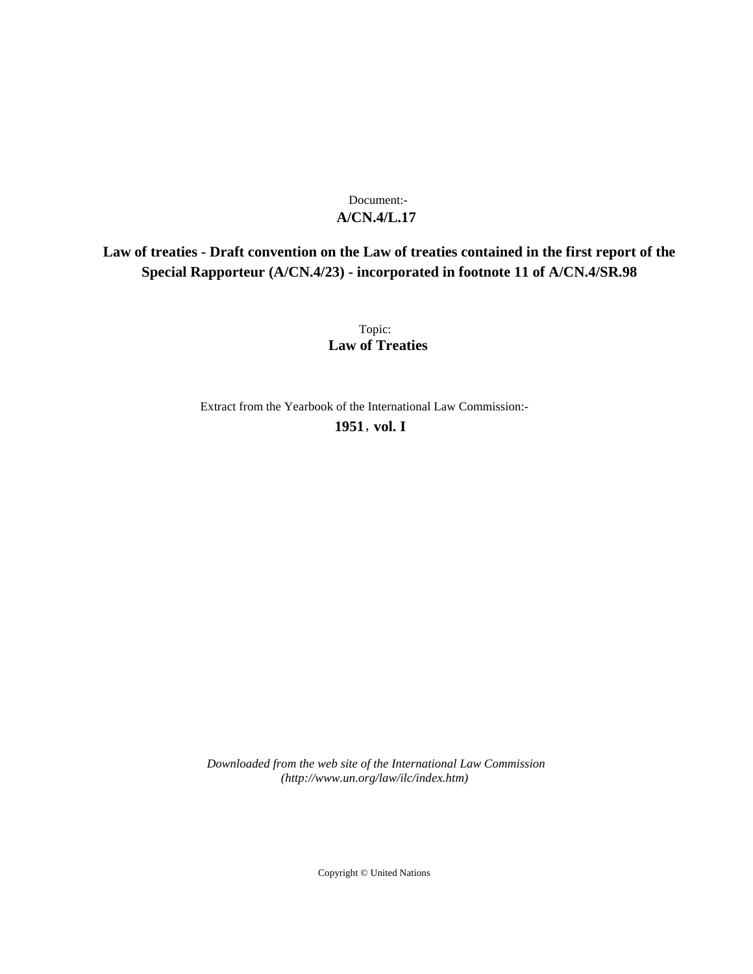# **A/CN.4/L.17** Document:-

# **Law of treaties - Draft convention on the Law of treaties contained in the first report of the Special Rapporteur (A/CN.4/23) - incorporated in footnote 11 of A/CN.4/SR.98**

Topic: **Law of Treaties**

Extract from the Yearbook of the International Law Commission:-

**1951** , **vol. I**

*Downloaded from the web site of the International Law Commission (http://www.un.org/law/ilc/index.htm)*

Copyright © United Nations